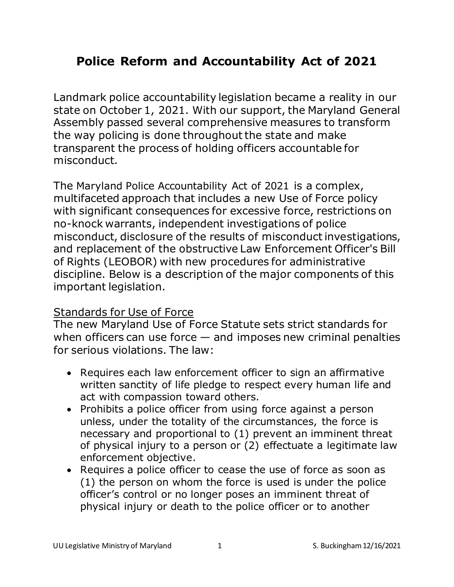# **Police Reform and Accountability Act of 2021**

Landmark police accountability legislation became a reality in our state on October 1, 2021. With our support, the Maryland General Assembly passed several comprehensive measures to transform the way policing is done throughout the state and make transparent the process of holding officers accountable for misconduct.

The Maryland Police Accountability Act of 2021 is a complex, multifaceted approach that includes a new Use of Force policy with significant consequences for excessive force, restrictions on no-knock warrants, independent investigations of police misconduct, disclosure of the results of misconduct investigations, and replacement of the obstructive Law Enforcement Officer's Bill of Rights (LEOBOR) with new procedures for administrative discipline. Below is a description of the major components of this important legislation.

#### Standards for Use of Force

The new Maryland Use of Force Statute sets strict standards for when officers can use force  $-$  and imposes new criminal penalties for serious violations. The law:

- Requires each law enforcement officer to sign an affirmative written sanctity of life pledge to respect every human life and act with compassion toward others.
- Prohibits a police officer from using force against a person unless, under the totality of the circumstances, the force is necessary and proportional to (1) prevent an imminent threat of physical injury to a person or (2) effectuate a legitimate law enforcement objective.
- Requires a police officer to cease the use of force as soon as (1) the person on whom the force is used is under the police officer's control or no longer poses an imminent threat of physical injury or death to the police officer or to another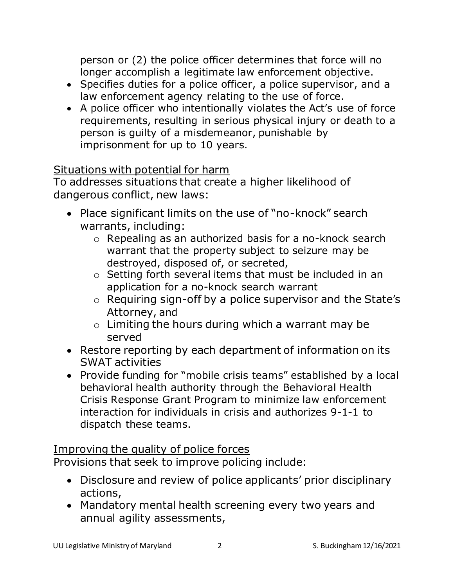person or (2) the police officer determines that force will no longer accomplish a legitimate law enforcement objective.

- Specifies duties for a police officer, a police supervisor, and a law enforcement agency relating to the use of force.
- A police officer who intentionally violates the Act's use of force requirements, resulting in serious physical injury or death to a person is guilty of a misdemeanor, punishable by imprisonment for up to 10 years.

## Situations with potential for harm

To addresses situations that create a higher likelihood of dangerous conflict, new laws:

- Place significant limits on the use of "no-knock" search warrants, including:
	- o Repealing as an authorized basis for a no-knock search warrant that the property subject to seizure may be destroyed, disposed of, or secreted,
	- o Setting forth several items that must be included in an application for a no-knock search warrant
	- o Requiring sign-off by a police supervisor and the State's Attorney, and
	- o Limiting the hours during which a warrant may be served
- Restore reporting by each department of information on its SWAT activities
- Provide funding for "mobile crisis teams" established by a local behavioral health authority through the Behavioral Health Crisis Response Grant Program to minimize law enforcement interaction for individuals in crisis and authorizes 9-1-1 to dispatch these teams.

## Improving the quality of police forces

Provisions that seek to improve policing include:

- Disclosure and review of police applicants' prior disciplinary actions,
- Mandatory mental health screening every two years and annual agility assessments,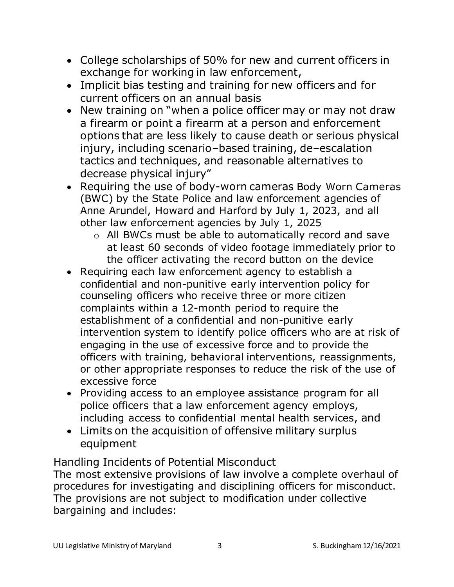- College scholarships of 50% for new and current officers in exchange for working in law enforcement,
- Implicit bias testing and training for new officers and for current officers on an annual basis
- New training on "when a police officer may or may not draw a firearm or point a firearm at a person and enforcement options that are less likely to cause death or serious physical injury, including scenario–based training, de–escalation tactics and techniques, and reasonable alternatives to decrease physical injury"
- Requiring the use of body-worn cameras Body Worn Cameras (BWC) by the State Police and law enforcement agencies of Anne Arundel, Howard and Harford by July 1, 2023, and all other law enforcement agencies by July 1, 2025
	- o All BWCs must be able to automatically record and save at least 60 seconds of video footage immediately prior to the officer activating the record button on the device
- Requiring each law enforcement agency to establish a confidential and non-punitive early intervention policy for counseling officers who receive three or more citizen complaints within a 12-month period to require the establishment of a confidential and non-punitive early intervention system to identify police officers who are at risk of engaging in the use of excessive force and to provide the officers with training, behavioral interventions, reassignments, or other appropriate responses to reduce the risk of the use of excessive force
- Providing access to an employee assistance program for all police officers that a law enforcement agency employs, including access to confidential mental health services, and
- Limits on the acquisition of offensive military surplus equipment

#### Handling Incidents of Potential Misconduct

The most extensive provisions of law involve a complete overhaul of procedures for investigating and disciplining officers for misconduct. The provisions are not subject to modification under collective bargaining and includes: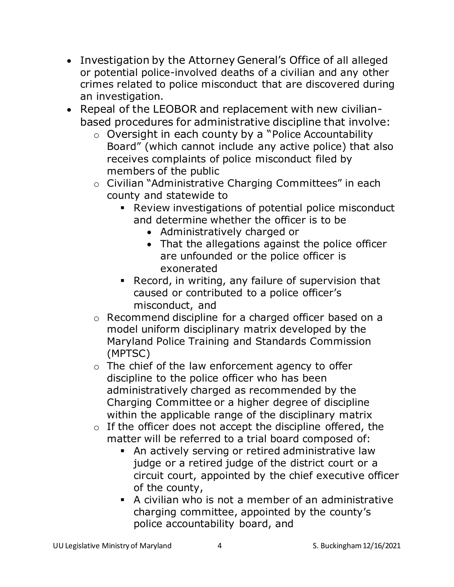- Investigation by the Attorney General's Office of all alleged or potential police-involved deaths of a civilian and any other crimes related to police misconduct that are discovered during an investigation.
- Repeal of the LEOBOR and replacement with new civilianbased procedures for administrative discipline that involve:
	- o Oversight in each county by a "Police Accountability Board" (which cannot include any active police) that also receives complaints of police misconduct filed by members of the public
	- o Civilian "Administrative Charging Committees" in each county and statewide to
		- Review investigations of potential police misconduct and determine whether the officer is to be
			- Administratively charged or
			- That the allegations against the police officer are unfounded or the police officer is exonerated
		- Record, in writing, any failure of supervision that caused or contributed to a police officer's misconduct, and
	- o Recommend discipline for a charged officer based on a model uniform disciplinary matrix developed by the Maryland Police Training and Standards Commission (MPTSC)
	- o The chief of the law enforcement agency to offer discipline to the police officer who has been administratively charged as recommended by the Charging Committee or a higher degree of discipline within the applicable range of the disciplinary matrix
	- $\circ$  If the officer does not accept the discipline offered, the matter will be referred to a trial board composed of:
		- **EXECT** An actively serving or retired administrative law judge or a retired judge of the district court or a circuit court, appointed by the chief executive officer of the county,
		- A civilian who is not a member of an administrative charging committee, appointed by the county's police accountability board, and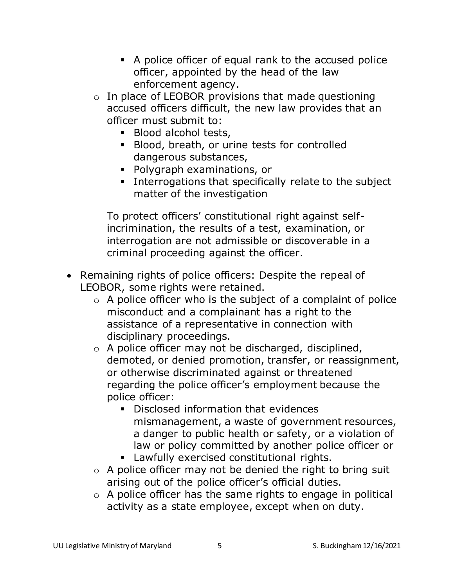- A police officer of equal rank to the accused police officer, appointed by the head of the law enforcement agency.
- $\circ$  In place of LEOBOR provisions that made questioning accused officers difficult, the new law provides that an officer must submit to:
	- Blood alcohol tests,
	- Blood, breath, or urine tests for controlled dangerous substances,
	- Polygraph examinations, or
	- Interrogations that specifically relate to the subject matter of the investigation

To protect officers' constitutional right against selfincrimination, the results of a test, examination, or interrogation are not admissible or discoverable in a criminal proceeding against the officer.

- Remaining rights of police officers: Despite the repeal of LEOBOR, some rights were retained.
	- $\circ$  A police officer who is the subject of a complaint of police misconduct and a complainant has a right to the assistance of a representative in connection with disciplinary proceedings.
	- o A police officer may not be discharged, disciplined, demoted, or denied promotion, transfer, or reassignment, or otherwise discriminated against or threatened regarding the police officer's employment because the police officer:
		- Disclosed information that evidences mismanagement, a waste of government resources, a danger to public health or safety, or a violation of law or policy committed by another police officer or
		- Lawfully exercised constitutional rights.
	- $\circ$  A police officer may not be denied the right to bring suit arising out of the police officer's official duties.
	- $\circ$  A police officer has the same rights to engage in political activity as a state employee, except when on duty.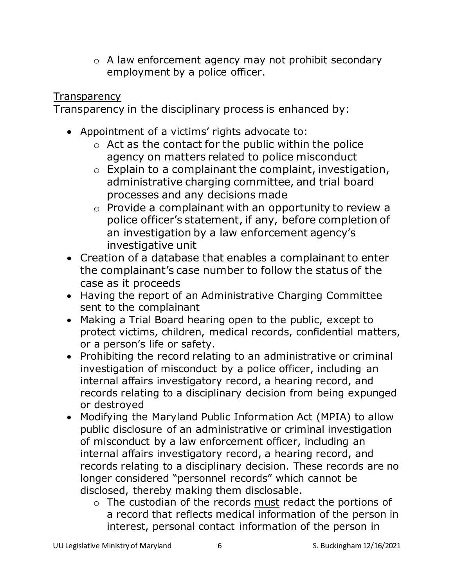o A law enforcement agency may not prohibit secondary employment by a police officer.

### **Transparency**

Transparency in the disciplinary process is enhanced by:

- Appointment of a victims' rights advocate to:
	- $\circ$  Act as the contact for the public within the police agency on matters related to police misconduct
	- o Explain to a complainant the complaint, investigation, administrative charging committee, and trial board processes and any decisions made
	- o Provide a complainant with an opportunity to review a police officer's statement, if any, before completion of an investigation by a law enforcement agency's investigative unit
- Creation of a database that enables a complainant to enter the complainant's case number to follow the status of the case as it proceeds
- Having the report of an Administrative Charging Committee sent to the complainant
- Making a Trial Board hearing open to the public, except to protect victims, children, medical records, confidential matters, or a person's life or safety.
- Prohibiting the record relating to an administrative or criminal investigation of misconduct by a police officer, including an internal affairs investigatory record, a hearing record, and records relating to a disciplinary decision from being expunged or destroyed
- Modifying the Maryland Public Information Act (MPIA) to allow public disclosure of an administrative or criminal investigation of misconduct by a law enforcement officer, including an internal affairs investigatory record, a hearing record, and records relating to a disciplinary decision. These records are no longer considered "personnel records" which cannot be disclosed, thereby making them disclosable.
	- o The custodian of the records must redact the portions of a record that reflects medical information of the person in interest, personal contact information of the person in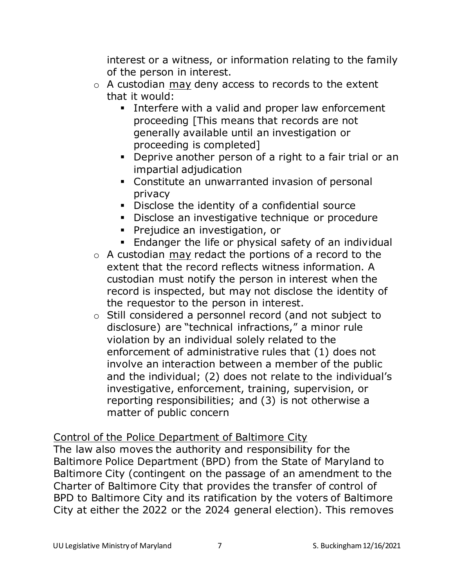interest or a witness, or information relating to the family of the person in interest.

- o A custodian may deny access to records to the extent that it would:
	- **EXED** Interfere with a valid and proper law enforcement proceeding [This means that records are not generally available until an investigation or proceeding is completed]
	- Deprive another person of a right to a fair trial or an impartial adjudication
	- Constitute an unwarranted invasion of personal privacy
	- Disclose the identity of a confidential source
	- **•** Disclose an investigative technique or procedure
	- Prejudice an investigation, or
	- **Endanger the life or physical safety of an individual**
- o A custodian may redact the portions of a record to the extent that the record reflects witness information. A custodian must notify the person in interest when the record is inspected, but may not disclose the identity of the requestor to the person in interest.
- o Still considered a personnel record (and not subject to disclosure) are "technical infractions," a minor rule violation by an individual solely related to the enforcement of administrative rules that (1) does not involve an interaction between a member of the public and the individual; (2) does not relate to the individual's investigative, enforcement, training, supervision, or reporting responsibilities; and (3) is not otherwise a matter of public concern

Control of the Police Department of Baltimore City

The law also moves the authority and responsibility for the Baltimore Police Department (BPD) from the State of Maryland to Baltimore City (contingent on the passage of an amendment to the Charter of Baltimore City that provides the transfer of control of BPD to Baltimore City and its ratification by the voters of Baltimore City at either the 2022 or the 2024 general election). This removes